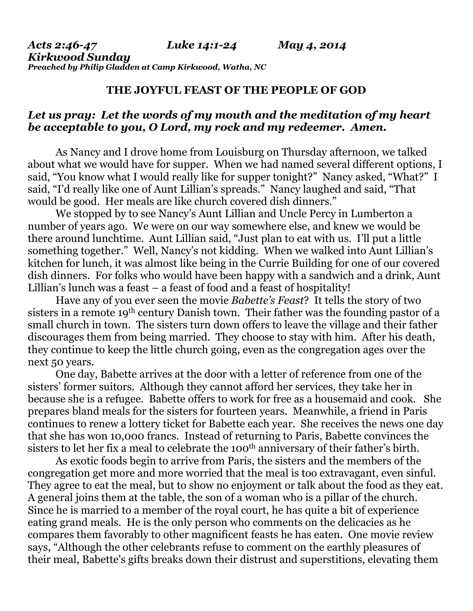## **THE JOYFUL FEAST OF THE PEOPLE OF GOD**

## *Let us pray: Let the words of my mouth and the meditation of my heart be acceptable to you, O Lord, my rock and my redeemer. Amen.*

 As Nancy and I drove home from Louisburg on Thursday afternoon, we talked about what we would have for supper. When we had named several different options, I said, "You know what I would really like for supper tonight?" Nancy asked, "What?" I said, "I'd really like one of Aunt Lillian's spreads." Nancy laughed and said, "That would be good. Her meals are like church covered dish dinners."

 We stopped by to see Nancy's Aunt Lillian and Uncle Percy in Lumberton a number of years ago. We were on our way somewhere else, and knew we would be there around lunchtime. Aunt Lillian said, "Just plan to eat with us. I'll put a little something together." Well, Nancy's not kidding. When we walked into Aunt Lillian's kitchen for lunch, it was almost like being in the Currie Building for one of our covered dish dinners. For folks who would have been happy with a sandwich and a drink, Aunt Lillian's lunch was a feast – a feast of food and a feast of hospitality!

 Have any of you ever seen the movie *Babette's Feast*? It tells the story of two sisters in a remote 19<sup>th</sup> century Danish town. Their father was the founding pastor of a small church in town. The sisters turn down offers to leave the village and their father discourages them from being married. They choose to stay with him. After his death, they continue to keep the little church going, even as the congregation ages over the next 50 years.

 One day, Babette arrives at the door with a letter of reference from one of the sisters' former suitors. Although they cannot afford her services, they take her in because she is a refugee. Babette offers to work for free as a housemaid and cook. She prepares bland meals for the sisters for fourteen years. Meanwhile, a friend in Paris continues to renew a lottery ticket for Babette each year. She receives the news one day that she has won 10,000 francs. Instead of returning to Paris, Babette convinces the sisters to let her fix a meal to celebrate the 100<sup>th</sup> anniversary of their father's birth.

 As exotic foods begin to arrive from Paris, the sisters and the members of the congregation get more and more worried that the meal is too extravagant, even sinful. They agree to eat the meal, but to show no enjoyment or talk about the food as they eat. A general joins them at the table, the son of a woman who is a pillar of the church. Since he is married to a member of the royal court, he has quite a bit of experience eating grand meals. He is the only person who comments on the delicacies as he compares them favorably to other magnificent feasts he has eaten. One movie review says, "Although the other celebrants refuse to comment on the earthly pleasures of their meal, Babette's gifts breaks down their distrust and superstitions, elevating them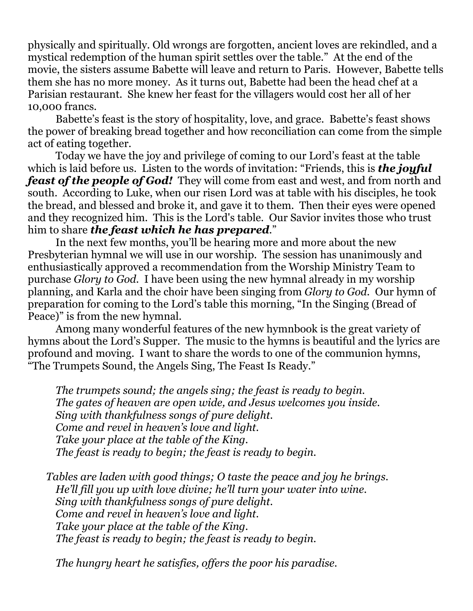physically and spiritually. Old wrongs are forgotten, ancient loves are rekindled, and a mystical redemption of the human spirit settles over the table." At the end of the movie, the sisters assume Babette will leave and return to Paris. However, Babette tells them she has no more money. As it turns out, Babette had been the head chef at a Parisian restaurant. She knew her feast for the villagers would cost her all of her 10,000 francs.

 Babette's feast is the story of hospitality, love, and grace. Babette's feast shows the power of breaking bread together and how reconciliation can come from the simple act of eating together.

 Today we have the joy and privilege of coming to our Lord's feast at the table which is laid before us. Listen to the words of invitation: "Friends, this is *the joyful feast of the people of God!* They will come from east and west, and from north and south. According to Luke, when our risen Lord was at table with his disciples, he took the bread, and blessed and broke it, and gave it to them. Then their eyes were opened and they recognized him. This is the Lord's table. Our Savior invites those who trust him to share *the feast which he has prepared*."

 In the next few months, you'll be hearing more and more about the new Presbyterian hymnal we will use in our worship. The session has unanimously and enthusiastically approved a recommendation from the Worship Ministry Team to purchase *Glory to God.* I have been using the new hymnal already in my worship planning, and Karla and the choir have been singing from *Glory to God.* Our hymn of preparation for coming to the Lord's table this morning, "In the Singing (Bread of Peace)" is from the new hymnal.

 Among many wonderful features of the new hymnbook is the great variety of hymns about the Lord's Supper. The music to the hymns is beautiful and the lyrics are profound and moving. I want to share the words to one of the communion hymns, "The Trumpets Sound, the Angels Sing, The Feast Is Ready."

*The trumpets sound; the angels sing; the feast is ready to begin. The gates of heaven are open wide, and Jesus welcomes you inside. Sing with thankfulness songs of pure delight. Come and revel in heaven's love and light. Take your place at the table of the King. The feast is ready to begin; the feast is ready to begin.*

 *Tables are laden with good things; O taste the peace and joy he brings. He'll fill you up with love divine; he'll turn your water into wine. Sing with thankfulness songs of pure delight. Come and revel in heaven's love and light. Take your place at the table of the King. The feast is ready to begin; the feast is ready to begin.*

*The hungry heart he satisfies, offers the poor his paradise.*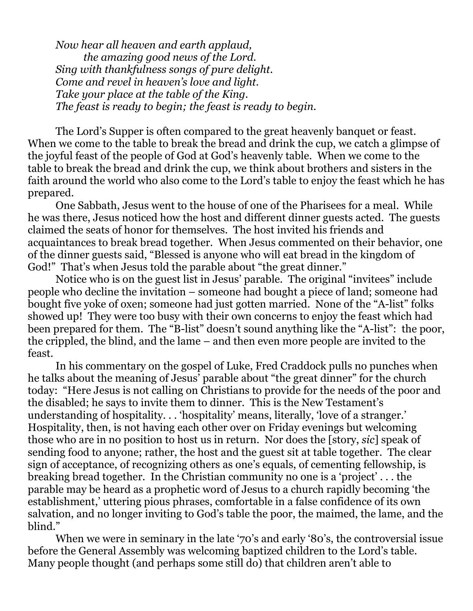*Now hear all heaven and earth applaud, the amazing good news of the Lord. Sing with thankfulness songs of pure delight. Come and revel in heaven's love and light. Take your place at the table of the King. The feast is ready to begin; the feast is ready to begin.*

 The Lord's Supper is often compared to the great heavenly banquet or feast. When we come to the table to break the bread and drink the cup, we catch a glimpse of the joyful feast of the people of God at God's heavenly table. When we come to the table to break the bread and drink the cup, we think about brothers and sisters in the faith around the world who also come to the Lord's table to enjoy the feast which he has prepared.

 One Sabbath, Jesus went to the house of one of the Pharisees for a meal. While he was there, Jesus noticed how the host and different dinner guests acted. The guests claimed the seats of honor for themselves. The host invited his friends and acquaintances to break bread together. When Jesus commented on their behavior, one of the dinner guests said, "Blessed is anyone who will eat bread in the kingdom of God!" That's when Jesus told the parable about "the great dinner."

 Notice who is on the guest list in Jesus' parable. The original "invitees" include people who decline the invitation – someone had bought a piece of land; someone had bought five yoke of oxen; someone had just gotten married. None of the "A-list" folks showed up! They were too busy with their own concerns to enjoy the feast which had been prepared for them. The "B-list" doesn't sound anything like the "A-list": the poor, the crippled, the blind, and the lame – and then even more people are invited to the feast.

 In his commentary on the gospel of Luke, Fred Craddock pulls no punches when he talks about the meaning of Jesus' parable about "the great dinner" for the church today: "Here Jesus is not calling on Christians to provide for the needs of the poor and the disabled; he says to invite them to dinner. This is the New Testament's understanding of hospitality. . . 'hospitality' means, literally, 'love of a stranger.' Hospitality, then, is not having each other over on Friday evenings but welcoming those who are in no position to host us in return. Nor does the [story, *sic*] speak of sending food to anyone; rather, the host and the guest sit at table together. The clear sign of acceptance, of recognizing others as one's equals, of cementing fellowship, is breaking bread together. In the Christian community no one is a 'project' . . . the parable may be heard as a prophetic word of Jesus to a church rapidly becoming 'the establishment,' uttering pious phrases, comfortable in a false confidence of its own salvation, and no longer inviting to God's table the poor, the maimed, the lame, and the blind."

When we were in seminary in the late '70's and early '80's, the controversial issue before the General Assembly was welcoming baptized children to the Lord's table. Many people thought (and perhaps some still do) that children aren't able to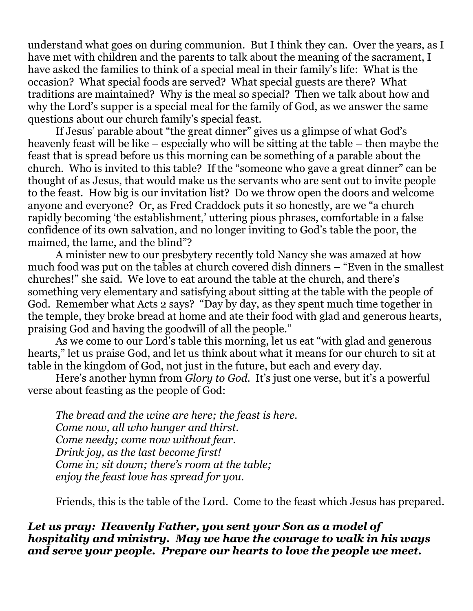understand what goes on during communion. But I think they can. Over the years, as I have met with children and the parents to talk about the meaning of the sacrament, I have asked the families to think of a special meal in their family's life: What is the occasion? What special foods are served? What special guests are there? What traditions are maintained? Why is the meal so special? Then we talk about how and why the Lord's supper is a special meal for the family of God, as we answer the same questions about our church family's special feast.

 If Jesus' parable about "the great dinner" gives us a glimpse of what God's heavenly feast will be like – especially who will be sitting at the table – then maybe the feast that is spread before us this morning can be something of a parable about the church. Who is invited to this table? If the "someone who gave a great dinner" can be thought of as Jesus, that would make us the servants who are sent out to invite people to the feast. How big is our invitation list? Do we throw open the doors and welcome anyone and everyone? Or, as Fred Craddock puts it so honestly, are we "a church rapidly becoming 'the establishment,' uttering pious phrases, comfortable in a false confidence of its own salvation, and no longer inviting to God's table the poor, the maimed, the lame, and the blind"?

 A minister new to our presbytery recently told Nancy she was amazed at how much food was put on the tables at church covered dish dinners – "Even in the smallest churches!" she said. We love to eat around the table at the church, and there's something very elementary and satisfying about sitting at the table with the people of God. Remember what Acts 2 says? "Day by day, as they spent much time together in the temple, they broke bread at home and ate their food with glad and generous hearts, praising God and having the goodwill of all the people."

 As we come to our Lord's table this morning, let us eat "with glad and generous hearts," let us praise God, and let us think about what it means for our church to sit at table in the kingdom of God, not just in the future, but each and every day.

 Here's another hymn from *Glory to God.* It's just one verse, but it's a powerful verse about feasting as the people of God:

*The bread and the wine are here; the feast is here. Come now, all who hunger and thirst. Come needy; come now without fear. Drink joy, as the last become first! Come in; sit down; there's room at the table; enjoy the feast love has spread for you.*

Friends, this is the table of the Lord. Come to the feast which Jesus has prepared.

## *Let us pray: Heavenly Father, you sent your Son as a model of hospitality and ministry. May we have the courage to walk in his ways and serve your people. Prepare our hearts to love the people we meet.*